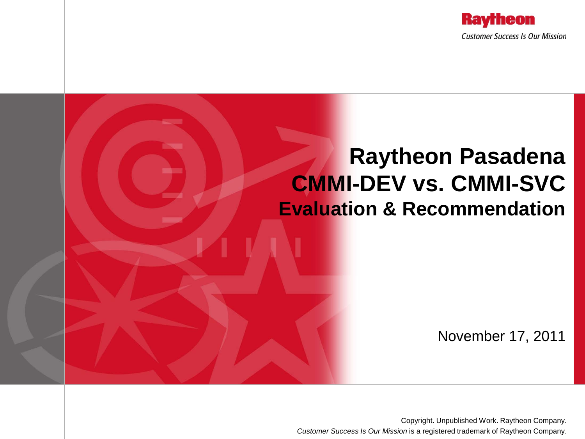

### **Raytheon Pasadena CMMI-DEV vs. CMMI-SVC Evaluation & Recommendation**

November 17, 2011

Copyright. Unpublished Work. Raytheon Company. *Customer Success Is Our Mission* is a registered trademark of Raytheon Company.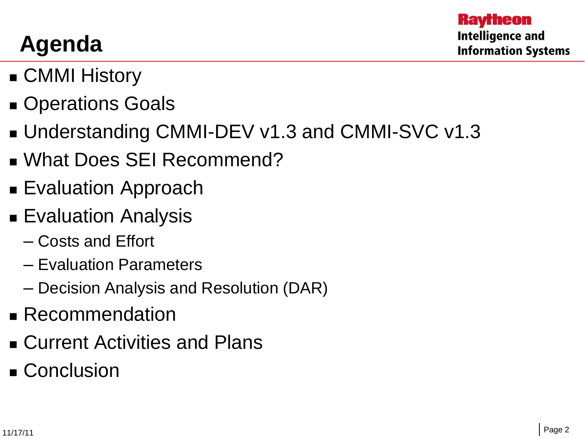# **Agenda**

- **E** CMMI History
- **Derations Goals**
- Understanding CMMI-DEV v1.3 and CMMI-SVC v1.3
- **No. 2018 What Does SEI Recommend?**
- **Evaluation Approach**
- **Evaluation Analysis** 
	- Costs and Effort
	- Evaluation Parameters
	- Decision Analysis and Resolution (DAR)
- **Recommendation**
- Current Activities and Plans
- Conclusion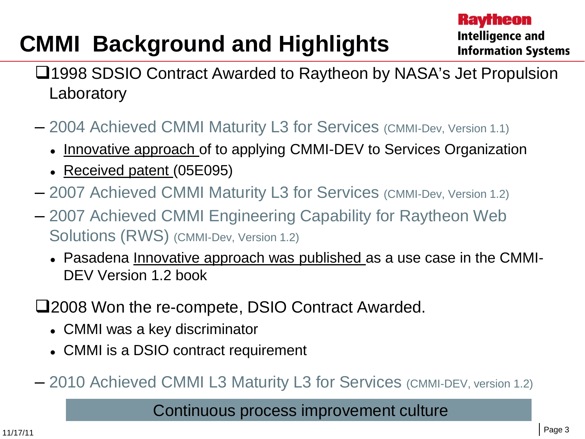# **CMMI Background and Highlights**

- ■1998 SDSIO Contract Awarded to Raytheon by NASA's Jet Propulsion **Laboratory**
- 2004 Achieved CMMI Maturity L3 for Services (CMMI-Dev, Version 1.1)
	- Innovative approach of to applying CMMI-DEV to Services Organization
	- Received patent (05E095)
- 2007 Achieved CMMI Maturity L3 for Services (CMMI-Dev, Version 1.2)
- 2007 Achieved CMMI Engineering Capability for Raytheon Web Solutions (RWS) (CMMI-Dev, Version 1.2)
	- Pasadena Innovative approach was published as a use case in the CMMI-DEV Version 1.2 book
- 2008 Won the re-compete, DSIO Contract Awarded.
	- CMMI was a key discriminator
	- CMMI is a DSIO contract requirement
- 2010 Achieved CMMI L3 Maturity L3 for Services (CMMI-DEV, version 1.2)

#### Continuous process improvement culture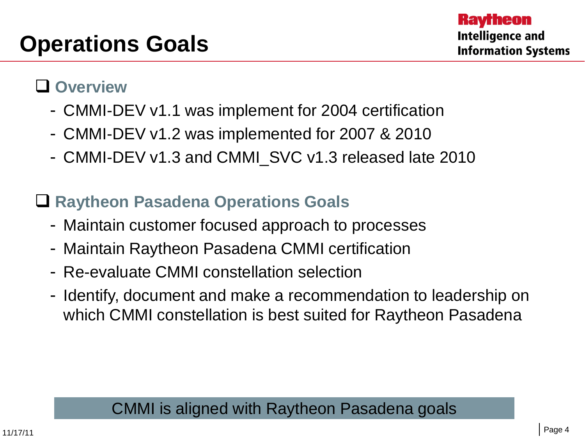#### **Overview**

- CMMI-DEV v1.1 was implement for 2004 certification
- CMMI-DEV v1.2 was implemented for 2007 & 2010
- CMMI-DEV v1.3 and CMMI\_SVC v1.3 released late 2010

### **Raytheon Pasadena Operations Goals**

- Maintain customer focused approach to processes
- Maintain Raytheon Pasadena CMMI certification
- Re-evaluate CMMI constellation selection
- Identify, document and make a recommendation to leadership on which CMMI constellation is best suited for Raytheon Pasadena

### CMMI is aligned with Raytheon Pasadena goals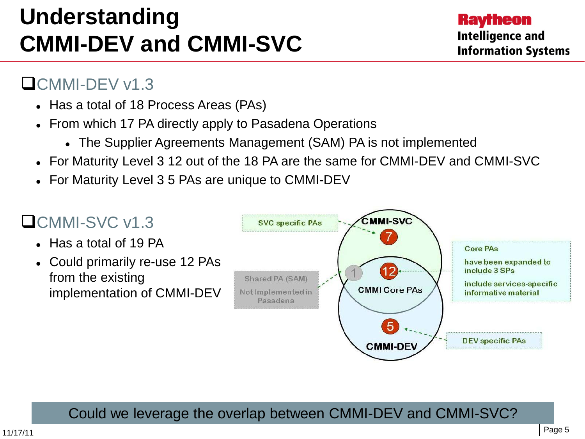# **Understanding CMMI-DEV and CMMI-SVC**

#### CMMI-DEV v1.3

- Has a total of 18 Process Areas (PAs)
- From which 17 PA directly apply to Pasadena Operations
	- The Supplier Agreements Management (SAM) PA is not implemented
- For Maturity Level 3 12 out of the 18 PA are the same for CMMI-DEV and CMMI-SVC
- For Maturity Level 3 5 PAs are unique to CMMI-DEV

### **OCMMI-SVC v1.3**

- Has a total of 19 PA
- Could primarily re-use 12 PAs from the existing implementation of CMMI-DEV



Could we leverage the overlap between CMMI-DEV and CMMI-SVC?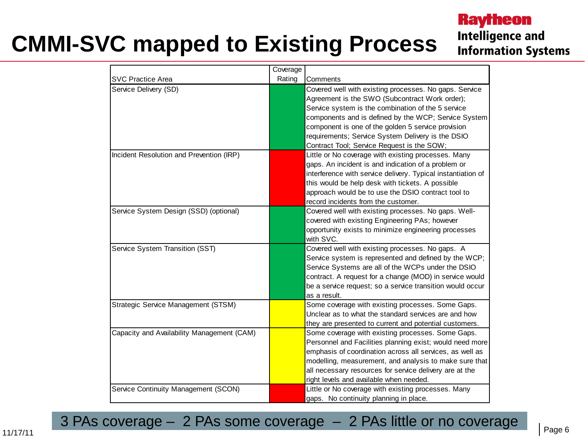# **CMMI-SVC mapped to Existing Process**

#### **Raytheon Intelligence and Information Systems**

|                                            | Coverage |                                                                                                                                                                                                                                                                                                                                                                                 |
|--------------------------------------------|----------|---------------------------------------------------------------------------------------------------------------------------------------------------------------------------------------------------------------------------------------------------------------------------------------------------------------------------------------------------------------------------------|
| <b>SVC Practice Area</b>                   | Rating   | Comments                                                                                                                                                                                                                                                                                                                                                                        |
| Service Delivery (SD)                      |          | Covered well with existing processes. No gaps. Service<br>Agreement is the SWO (Subcontract Work order);<br>Service system is the combination of the 5 service<br>components and is defined by the WCP; Service System<br>component is one of the golden 5 service provision<br>requirements; Service System Delivery is the DSIO<br>Contract Tool; Service Request is the SOW; |
| Incident Resolution and Prevention (IRP)   |          | Little or No coverage with existing processes. Many<br>gaps. An incident is and indication of a problem or<br>interference with service delivery. Typical instantiation of<br>this would be help desk with tickets. A possible<br>approach would be to use the DSIO contract tool to<br>record incidents from the customer.                                                     |
| Service System Design (SSD) (optional)     |          | Covered well with existing processes. No gaps. Well-<br>covered with existing Engineering PAs; however<br>opportunity exists to minimize engineering processes<br>with SVC.                                                                                                                                                                                                     |
| Service System Transition (SST)            |          | Covered well with existing processes. No gaps. A<br>Service system is represented and defined by the WCP;<br>Service Systems are all of the WCPs under the DSIO<br>contract. A request for a change (MOD) in service would<br>be a service request; so a service transition would occur<br>as a result.                                                                         |
| Strategic Service Management (STSM)        |          | Some coverage with existing processes. Some Gaps.<br>Unclear as to what the standard services are and how<br>they are presented to current and potential customers.                                                                                                                                                                                                             |
| Capacity and Availability Management (CAM) |          | Some coverage with existing processes. Some Gaps.<br>Personnel and Facilities planning exist; would need more<br>emphasis of coordination across all services, as well as<br>modelling, measurement, and analysis to make sure that<br>all necessary resources for service delivery are at the<br>right levels and available when needed.                                       |
| Service Continuity Management (SCON)       |          | Little or No coverage with existing processes. Many<br>gaps. No continuity planning in place.                                                                                                                                                                                                                                                                                   |

3 PAs coverage – 2 PAs some coverage – 2 PAs little or no coverage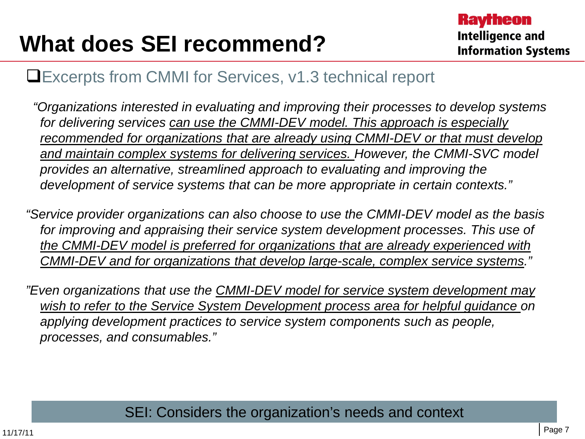## **What does SEI recommend?**

#### Excerpts from CMMI for Services, v1.3 technical report

 *"Organizations interested in evaluating and improving their processes to develop systems for delivering services can use the CMMI-DEV model. This approach is especially recommended for organizations that are already using CMMI-DEV or that must develop and maintain complex systems for delivering services. However, the CMMI-SVC model provides an alternative, streamlined approach to evaluating and improving the development of service systems that can be more appropriate in certain contexts."*

*"Service provider organizations can also choose to use the CMMI-DEV model as the basis for improving and appraising their service system development processes. This use of the CMMI-DEV model is preferred for organizations that are already experienced with CMMI-DEV and for organizations that develop large-scale, complex service systems."*

*"Even organizations that use the CMMI-DEV model for service system development may wish to refer to the Service System Development process area for helpful guidance on applying development practices to service system components such as people, processes, and consumables."*

#### SEI: Considers the organization's needs and context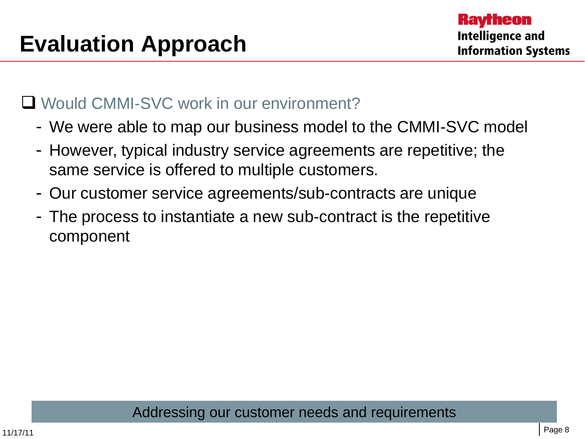#### ■ Would CMMI-SVC work in our environment?

- We were able to map our business model to the CMMI-SVC model
- However, typical industry service agreements are repetitive; the same service is offered to multiple customers.
- Our customer service agreements/sub-contracts are unique
- The process to instantiate a new sub-contract is the repetitive component

Addressing our customer needs and requirements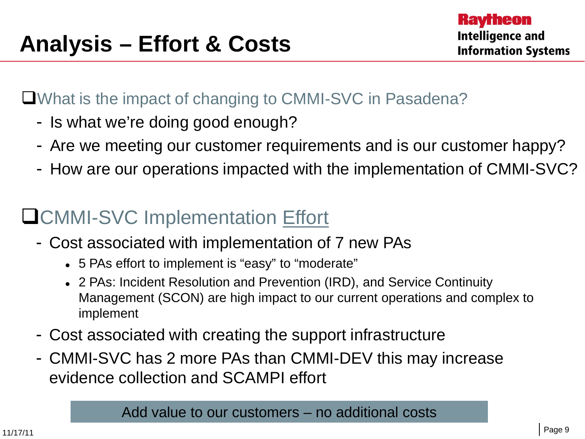What is the impact of changing to CMMI-SVC in Pasadena?

- Is what we're doing good enough?
- Are we meeting our customer requirements and is our customer happy?
- How are our operations impacted with the implementation of CMMI-SVC?

### **LICMMI-SVC Implementation Effort**

- Cost associated with implementation of 7 new PAs
	- 5 PAs effort to implement is "easy" to "moderate"
	- 2 PAs: Incident Resolution and Prevention (IRD), and Service Continuity Management (SCON) are high impact to our current operations and complex to implement
- Cost associated with creating the support infrastructure
- CMMI-SVC has 2 more PAs than CMMI-DEV this may increase evidence collection and SCAMPI effort

Add value to our customers – no additional costs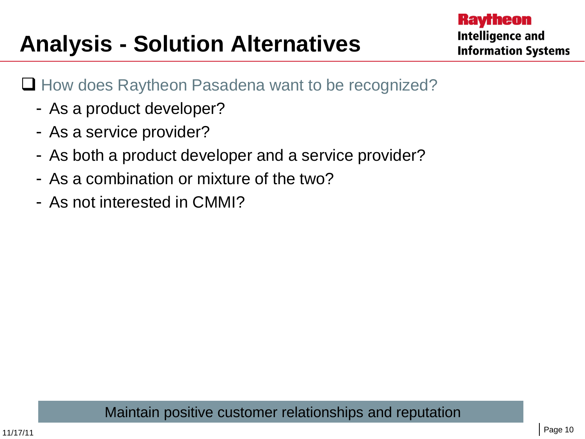# **Analysis - Solution Alternatives**

- $\Box$  How does Raytheon Pasadena want to be recognized?
	- As a product developer?
	- As a service provider?
	- As both a product developer and a service provider?
	- As a combination or mixture of the two?
	- As not interested in CMMI?

Maintain positive customer relationships and reputation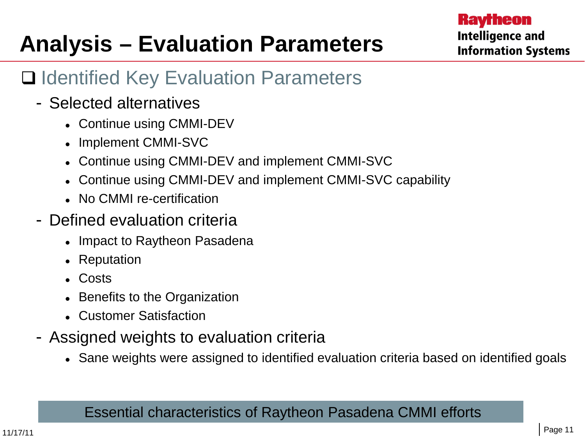# **Analysis – Evaluation Parameters**

### **□ Identified Key Evaluation Parameters**

- Selected alternatives
	- Continue using CMMI-DEV
	- Implement CMMI-SVC
	- Continue using CMMI-DEV and implement CMMI-SVC
	- Continue using CMMI-DEV and implement CMMI-SVC capability
	- No CMMI re-certification
- Defined evaluation criteria
	- Impact to Raytheon Pasadena
	- Reputation
	- Costs
	- Benefits to the Organization
	- Customer Satisfaction
- Assigned weights to evaluation criteria
	- Sane weights were assigned to identified evaluation criteria based on identified goals

#### Essential characteristics of Raytheon Pasadena CMMI efforts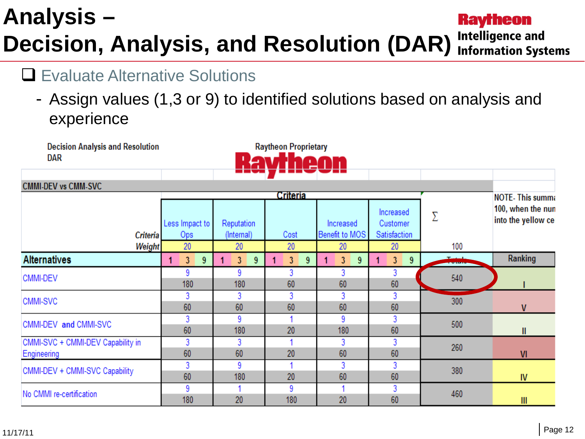#### **Analysis – Raytheon Intelligence and Decision, Analysis, and Resolution (DAR) Information Systems**

### **□ Evaluate Alternative Solutions**

**Decision Analysis and Resolution** 

- Assign values (1,3 or 9) to identified solutions based on analysis and experience

**Raytheon Proprietary** 

**DAR CMMI-DEV vs CMM-SVC Criteria NOTE-This summa** 100, when the nun Increased Σ into the yellow ce Less Impact to Reputation Increased Customer **Criteria** Ops (Internal) Benefit to MOS Satisfaction Cost 20 20 20 20 Weight 20 100 Ranking **Alternatives**  $\overline{3}$  $\overline{3}$ 1  $9<sup>°</sup>$ 1 3 9  $\mathbf{1}$ 9  $\overline{3}$ 9 1 3 9 9 9 3 3 3 CMMI-DEV 540 60 60 60 180 180 3 3 3 3 3 300 CMMI-SVC 60 60 60 60 60 V 3 9  $\blacktriangleleft$ 9 3 CMMI-DEV and CMMI-SVC 500 60 180 20 180 60 Ш CMMI-SVC + CMMI-DEV Capability in 3 3 3 3  $\blacktriangleleft$ 260 Engineering 60 60 20 60 60  $VI$ 3 9  $\blacktriangleleft$ 3 3 CMMI-DEV + CMMI-SVC Capability 380 60 60 20 60 180 IV<sub></sub> 9 9 1 3 1 No CMMI re-certification 460 180 20 180 20 60  $III$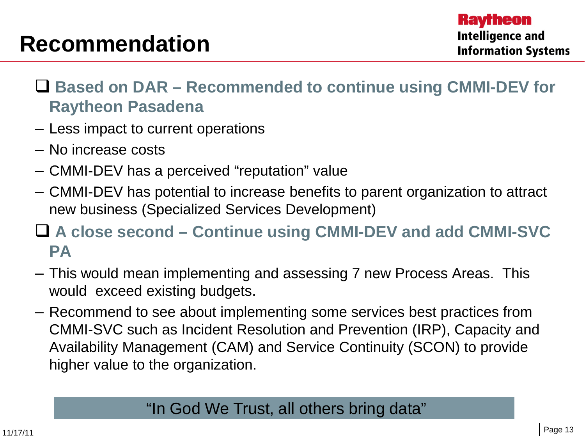### **Recommendation**

- **Based on DAR – Recommended to continue using CMMI-DEV for Raytheon Pasadena**
- Less impact to current operations
- No increase costs
- CMMI-DEV has a perceived "reputation" value
- CMMI-DEV has potential to increase benefits to parent organization to attract new business (Specialized Services Development)

### **A close second – Continue using CMMI-DEV and add CMMI-SVC PA**

- This would mean implementing and assessing 7 new Process Areas. This would exceed existing budgets.
- Recommend to see about implementing some services best practices from CMMI-SVC such as Incident Resolution and Prevention (IRP), Capacity and Availability Management (CAM) and Service Continuity (SCON) to provide higher value to the organization.

#### "In God We Trust, all others bring data"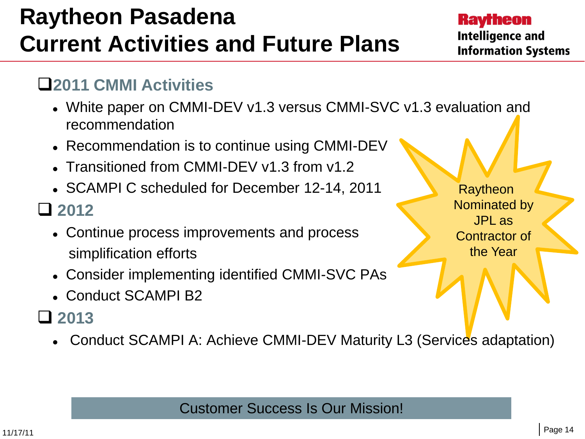## **Raytheon Pasadena Current Activities and Future Plans**

#### **Ravrheon Intelligence and Information Systems**

#### **2011 CMMI Activities**

- White paper on CMMI-DEV v1.3 versus CMMI-SVC v1.3 evaluation and recommendation
- Recommendation is to continue using CMMI-DEV
- Transitioned from CMMI-DEV v1.3 from v1.2
- SCAMPI C scheduled for December 12-14, 2011

### **2012**

- Continue process improvements and process simplification efforts
- Consider implementing identified CMMI-SVC PAs
- Conduct SCAMPI B2

### **2013**

Conduct SCAMPI A: Achieve CMMI-DEV Maturity L3 (Services adaptation)

Customer Success Is Our Mission!

**Raytheon** Nominated by JPL as Contractor of the Year